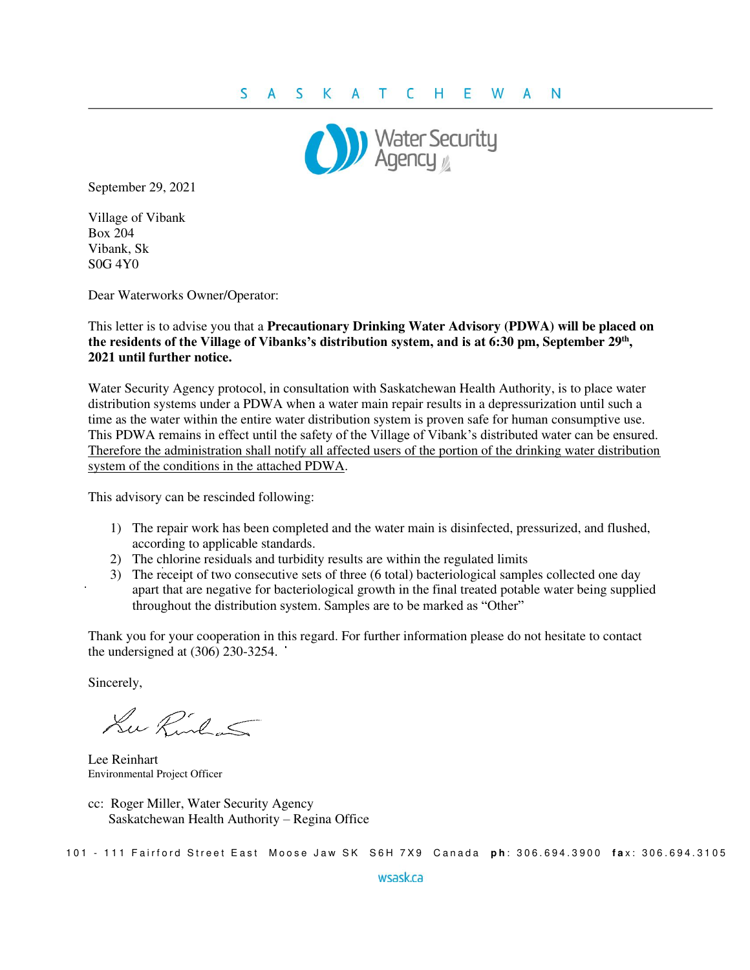

September 29, 2021

Village of Vibank Box 204 Vibank, Sk S0G 4Y0

Dear Waterworks Owner/Operator:

This letter is to advise you that a **Precautionary Drinking Water Advisory (PDWA) will be placed on the residents of the Village of Vibanks's distribution system, and is at 6:30 pm, September 29th , 2021 until further notice.**

Water Security Agency protocol, in consultation with Saskatchewan Health Authority, is to place water distribution systems under a PDWA when a water main repair results in a depressurization until such a time as the water within the entire water distribution system is proven safe for human consumptive use. This PDWA remains in effect until the safety of the Village of Vibank's distributed water can be ensured. Therefore the administration shall notify all affected users of the portion of the drinking water distribution system of the conditions in the attached PDWA.

This advisory can be rescinded following:

- 1) The repair work has been completed and the water main is disinfected, pressurized, and flushed, according to applicable standards.
- 2) The chlorine residuals and turbidity results are within the regulated limits
- 3) The receipt of two consecutive sets of three (6 total) bacteriological samples collected one day apart that are negative for bacteriological growth in the final treated potable water being supplied throughout the distribution system. Samples are to be marked as "Other"

Thank you for your cooperation in this regard. For further information please do not hesitate to contact the undersigned at (306) 230-3254.

Sincerely,

Lu Rinhas

Lee Reinhart Environmental Project Officer

cc: Roger Miller, Water Security Agency Saskatchewan Health Authority – Regina Office

101 - 111 Fairford Street East Moose Jaw SK S6H 7X9 Canada ph: 306.694.3900 fax: 306.694.3105

wsask.ca